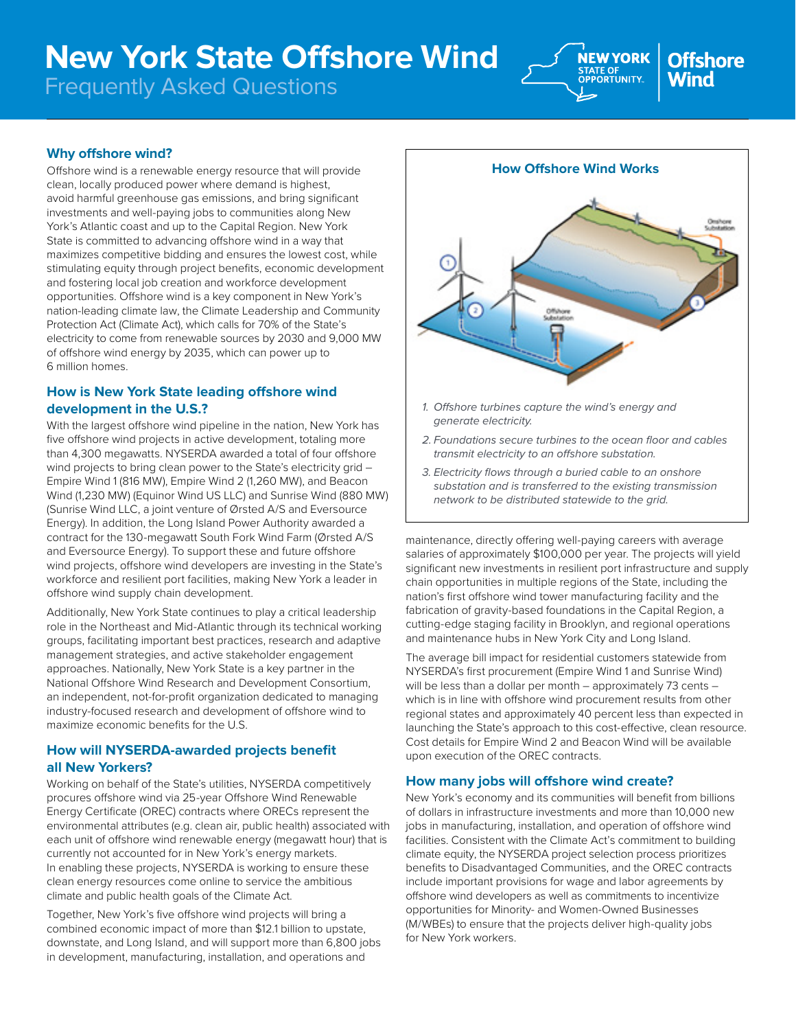# **New York State Offshore Wind**

Frequently Asked Questions



#### **Why offshore wind?**

Offshore wind is a renewable energy resource that will provide clean, locally produced power where demand is highest, avoid harmful greenhouse gas emissions, and bring significant investments and well-paying jobs to communities along New York's Atlantic coast and up to the Capital Region. New York State is committed to advancing offshore wind in a way that maximizes competitive bidding and ensures the lowest cost, while stimulating equity through project benefits, economic development and fostering local job creation and workforce development opportunities. Offshore wind is a key component in New York's nation-leading climate law, the Climate Leadership and Community Protection Act (Climate Act), which calls for 70% of the State's electricity to come from renewable sources by 2030 and 9,000 MW of offshore wind energy by 2035, which can power up to 6 million homes.

#### **How is New York State leading offshore wind development in the U.S.?**

With the largest offshore wind pipeline in the nation, New York has five offshore wind projects in active development, totaling more than 4,300 megawatts. NYSERDA awarded a total of four offshore wind projects to bring clean power to the State's electricity grid -Empire Wind 1 (816 MW), Empire Wind 2 (1,260 MW), and Beacon Wind (1,230 MW) (Equinor Wind US LLC) and Sunrise Wind (880 MW) (Sunrise Wind LLC, a joint venture of Ørsted A/S and Eversource Energy). In addition, the Long Island Power Authority awarded a contract for the 130-megawatt South Fork Wind Farm (Ørsted A/S and Eversource Energy). To support these and future offshore wind projects, offshore wind developers are investing in the State's workforce and resilient port facilities, making New York a leader in offshore wind supply chain development.

Additionally, New York State continues to play a critical leadership role in the Northeast and Mid-Atlantic through its technical working groups, facilitating important best practices, research and adaptive management strategies, and active stakeholder engagement approaches. Nationally, New York State is a key partner in the National Offshore Wind Research and Development Consortium, an independent, not-for-profit organization dedicated to managing industry-focused research and development of offshore wind to maximize economic benefits for the U.S.

#### **How will NYSERDA-awarded projects benefit all New Yorkers?**

Working on behalf of the State's utilities, NYSERDA competitively procures offshore wind via 25-year Offshore Wind Renewable Energy Certificate (OREC) contracts where ORECs represent the environmental attributes (e.g. clean air, public health) associated with each unit of offshore wind renewable energy (megawatt hour) that is currently not accounted for in New York's energy markets. In enabling these projects, NYSERDA is working to ensure these clean energy resources come online to service the ambitious climate and public health goals of the Climate Act.

Together, New York's five offshore wind projects will bring a combined economic impact of more than \$12.1 billion to upstate, downstate, and Long Island, and will support more than 6,800 jobs in development, manufacturing, installation, and operations and



- *generate electricity.*
- *2. Foundations secure turbines to the ocean floor and cables transmit electricity to an offshore substation.*
- *3. Electricity flows through a buried cable to an onshore substation and is transferred to the existing transmission network to be distributed statewide to the grid.*

maintenance, directly offering well-paying careers with average salaries of approximately \$100,000 per year. The projects will yield significant new investments in resilient port infrastructure and supply chain opportunities in multiple regions of the State, including the nation's first offshore wind tower manufacturing facility and the fabrication of gravity-based foundations in the Capital Region, a cutting-edge staging facility in Brooklyn, and regional operations and maintenance hubs in New York City and Long Island.

The average bill impact for residential customers statewide from NYSERDA's first procurement (Empire Wind 1 and Sunrise Wind) will be less than a dollar per month – approximately 73 cents – which is in line with offshore wind procurement results from other regional states and approximately 40 percent less than expected in launching the State's approach to this cost-effective, clean resource. Cost details for Empire Wind 2 and Beacon Wind will be available upon execution of the OREC contracts.

#### **How many jobs will offshore wind create?**

New York's economy and its communities will benefit from billions of dollars in infrastructure investments and more than 10,000 new jobs in manufacturing, installation, and operation of offshore wind facilities. Consistent with the Climate Act's commitment to building climate equity, the NYSERDA project selection process prioritizes benefits to Disadvantaged Communities, and the OREC contracts include important provisions for wage and labor agreements by offshore wind developers as well as commitments to incentivize opportunities for Minority- and Women-Owned Businesses (M/WBEs) to ensure that the projects deliver high-quality jobs for New York workers.